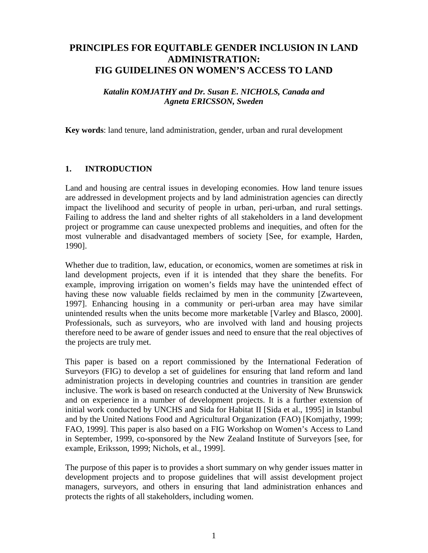# **PRINCIPLES FOR EQUITABLE GENDER INCLUSION IN LAND ADMINISTRATION: FIG GUIDELINES ON WOMEN'S ACCESS TO LAND**

### *Katalin KOMJATHY and Dr. Susan E. NICHOLS, Canada and Agneta ERICSSON, Sweden*

**Key words**: land tenure, land administration, gender, urban and rural development

### **1. INTRODUCTION**

Land and housing are central issues in developing economies. How land tenure issues are addressed in development projects and by land administration agencies can directly impact the livelihood and security of people in urban, peri-urban, and rural settings. Failing to address the land and shelter rights of all stakeholders in a land development project or programme can cause unexpected problems and inequities, and often for the most vulnerable and disadvantaged members of society [See, for example, Harden, 1990].

Whether due to tradition, law, education, or economics, women are sometimes at risk in land development projects, even if it is intended that they share the benefits. For example, improving irrigation on women's fields may have the unintended effect of having these now valuable fields reclaimed by men in the community [Zwarteveen, 1997]. Enhancing housing in a community or peri-urban area may have similar unintended results when the units become more marketable [Varley and Blasco, 2000]. Professionals, such as surveyors, who are involved with land and housing projects therefore need to be aware of gender issues and need to ensure that the real objectives of the projects are truly met.

This paper is based on a report commissioned by the International Federation of Surveyors (FIG) to develop a set of guidelines for ensuring that land reform and land administration projects in developing countries and countries in transition are gender inclusive. The work is based on research conducted at the University of New Brunswick and on experience in a number of development projects. It is a further extension of initial work conducted by UNCHS and Sida for Habitat II [Sida et al., 1995] in Istanbul and by the United Nations Food and Agricultural Organization (FAO) [Komjathy, 1999; FAO, 1999]. This paper is also based on a FIG Workshop on Women's Access to Land in September, 1999, co-sponsored by the New Zealand Institute of Surveyors [see, for example, Eriksson, 1999; Nichols, et al., 1999].

The purpose of this paper is to provides a short summary on why gender issues matter in development projects and to propose guidelines that will assist development project managers, surveyors, and others in ensuring that land administration enhances and protects the rights of all stakeholders, including women.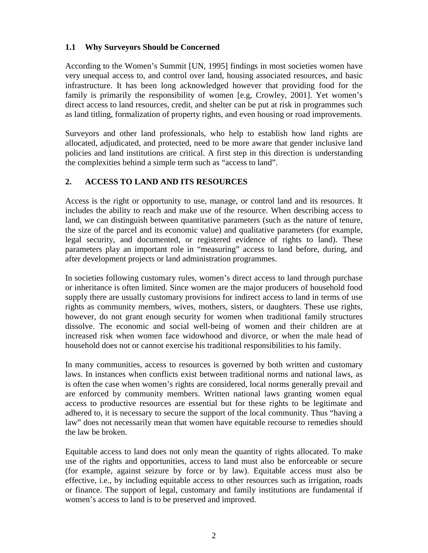# **1.1 Why Surveyors Should be Concerned**

According to the Women's Summit [UN, 1995] findings in most societies women have very unequal access to, and control over land, housing associated resources, and basic infrastructure. It has been long acknowledged however that providing food for the family is primarily the responsibility of women [e.g, Crowley, 2001]. Yet women's direct access to land resources, credit, and shelter can be put at risk in programmes such as land titling, formalization of property rights, and even housing or road improvements.

Surveyors and other land professionals, who help to establish how land rights are allocated, adjudicated, and protected, need to be more aware that gender inclusive land policies and land institutions are critical. A first step in this direction is understanding the complexities behind a simple term such as "access to land".

# **2. ACCESS TO LAND AND ITS RESOURCES**

Access is the right or opportunity to use, manage, or control land and its resources. It includes the ability to reach and make use of the resource. When describing access to land, we can distinguish between quantitative parameters (such as the nature of tenure, the size of the parcel and its economic value) and qualitative parameters (for example, legal security, and documented, or registered evidence of rights to land). These parameters play an important role in "measuring" access to land before, during, and after development projects or land administration programmes.

In societies following customary rules, women's direct access to land through purchase or inheritance is often limited. Since women are the major producers of household food supply there are usually customary provisions for indirect access to land in terms of use rights as community members, wives, mothers, sisters, or daughters. These use rights, however, do not grant enough security for women when traditional family structures dissolve. The economic and social well-being of women and their children are at increased risk when women face widowhood and divorce, or when the male head of household does not or cannot exercise his traditional responsibilities to his family.

In many communities, access to resources is governed by both written and customary laws. In instances when conflicts exist between traditional norms and national laws, as is often the case when women's rights are considered, local norms generally prevail and are enforced by community members. Written national laws granting women equal access to productive resources are essential but for these rights to be legitimate and adhered to, it is necessary to secure the support of the local community. Thus "having a law" does not necessarily mean that women have equitable recourse to remedies should the law be broken.

Equitable access to land does not only mean the quantity of rights allocated. To make use of the rights and opportunities, access to land must also be enforceable or secure (for example, against seizure by force or by law). Equitable access must also be effective, i.e., by including equitable access to other resources such as irrigation, roads or finance. The support of legal, customary and family institutions are fundamental if women's access to land is to be preserved and improved.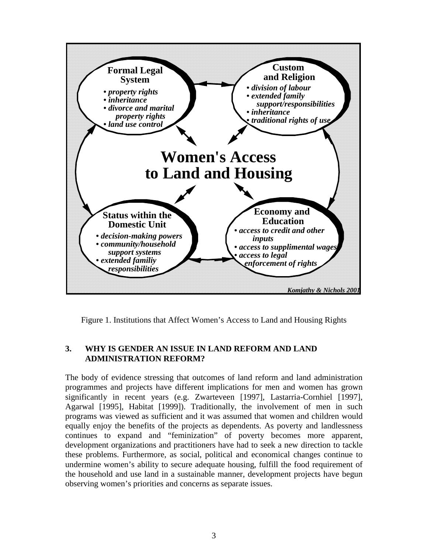

Figure 1. Institutions that Affect Women's Access to Land and Housing Rights

### **3. WHY IS GENDER AN ISSUE IN LAND REFORM AND LAND ADMINISTRATION REFORM?**

The body of evidence stressing that outcomes of land reform and land administration programmes and projects have different implications for men and women has grown significantly in recent years (e.g. Zwarteveen [1997], Lastarria-Cornhiel [1997], Agarwal [1995], Habitat [1999]). Traditionally, the involvement of men in such programs was viewed as sufficient and it was assumed that women and children would equally enjoy the benefits of the projects as dependents. As poverty and landlessness continues to expand and "feminization" of poverty becomes more apparent, development organizations and practitioners have had to seek a new direction to tackle these problems. Furthermore, as social, political and economical changes continue to undermine women's ability to secure adequate housing, fulfill the food requirement of the household and use land in a sustainable manner, development projects have begun observing women's priorities and concerns as separate issues.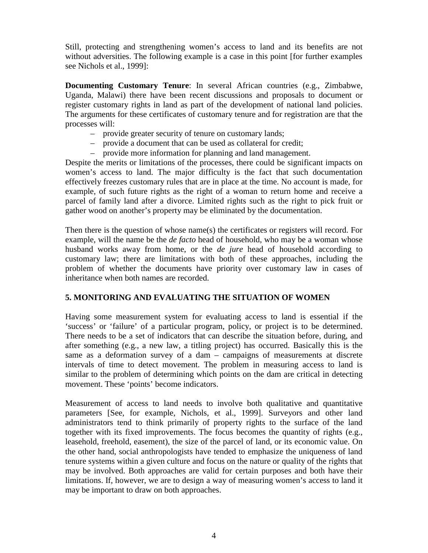Still, protecting and strengthening women's access to land and its benefits are not without adversities. The following example is a case in this point [for further examples see Nichols et al., 1999]:

**Documenting Customary Tenure**: In several African countries (e.g., Zimbabwe, Uganda, Malawi) there have been recent discussions and proposals to document or register customary rights in land as part of the development of national land policies. The arguments for these certificates of customary tenure and for registration are that the processes will:

- provide greater security of tenure on customary lands;
- provide a document that can be used as collateral for credit;
- provide more information for planning and land management.

Despite the merits or limitations of the processes, there could be significant impacts on women's access to land. The major difficulty is the fact that such documentation effectively freezes customary rules that are in place at the time. No account is made, for example, of such future rights as the right of a woman to return home and receive a parcel of family land after a divorce. Limited rights such as the right to pick fruit or gather wood on another's property may be eliminated by the documentation.

Then there is the question of whose name(s) the certificates or registers will record. For example, will the name be the *de facto* head of household, who may be a woman whose husband works away from home, or the *de jure* head of household according to customary law; there are limitations with both of these approaches, including the problem of whether the documents have priority over customary law in cases of inheritance when both names are recorded.

### **5. MONITORING AND EVALUATING THE SITUATION OF WOMEN**

Having some measurement system for evaluating access to land is essential if the 'success' or 'failure' of a particular program, policy, or project is to be determined. There needs to be a set of indicators that can describe the situation before, during, and after something (e.g., a new law, a titling project) has occurred. Basically this is the same as a deformation survey of a dam – campaigns of measurements at discrete intervals of time to detect movement. The problem in measuring access to land is similar to the problem of determining which points on the dam are critical in detecting movement. These 'points' become indicators.

Measurement of access to land needs to involve both qualitative and quantitative parameters [See, for example, Nichols, et al., 1999]. Surveyors and other land administrators tend to think primarily of property rights to the surface of the land together with its fixed improvements. The focus becomes the quantity of rights (e.g., leasehold, freehold, easement), the size of the parcel of land, or its economic value. On the other hand, social anthropologists have tended to emphasize the uniqueness of land tenure systems within a given culture and focus on the nature or quality of the rights that may be involved. Both approaches are valid for certain purposes and both have their limitations. If, however, we are to design a way of measuring women's access to land it may be important to draw on both approaches.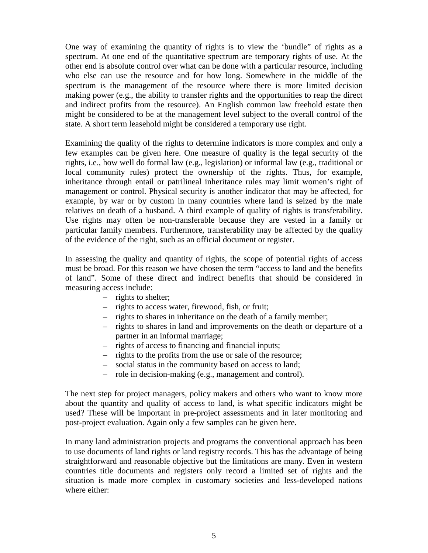One way of examining the quantity of rights is to view the 'bundle" of rights as a spectrum. At one end of the quantitative spectrum are temporary rights of use. At the other end is absolute control over what can be done with a particular resource, including who else can use the resource and for how long. Somewhere in the middle of the spectrum is the management of the resource where there is more limited decision making power (e.g., the ability to transfer rights and the opportunities to reap the direct and indirect profits from the resource). An English common law freehold estate then might be considered to be at the management level subject to the overall control of the state. A short term leasehold might be considered a temporary use right.

Examining the quality of the rights to determine indicators is more complex and only a few examples can be given here. One measure of quality is the legal security of the rights, i.e., how well do formal law (e.g., legislation) or informal law (e.g., traditional or local community rules) protect the ownership of the rights. Thus, for example, inheritance through entail or patrilineal inheritance rules may limit women's right of management or control. Physical security is another indicator that may be affected, for example, by war or by custom in many countries where land is seized by the male relatives on death of a husband. A third example of quality of rights is transferability. Use rights may often be non-transferable because they are vested in a family or particular family members. Furthermore, transferability may be affected by the quality of the evidence of the right, such as an official document or register.

In assessing the quality and quantity of rights, the scope of potential rights of access must be broad. For this reason we have chosen the term "access to land and the benefits of land". Some of these direct and indirect benefits that should be considered in measuring access include:

- rights to shelter;
- rights to access water, firewood, fish, or fruit;
- rights to shares in inheritance on the death of a family member;
- rights to shares in land and improvements on the death or departure of a partner in an informal marriage;
- rights of access to financing and financial inputs;
- rights to the profits from the use or sale of the resource;
- social status in the community based on access to land;
- role in decision-making (e.g., management and control).

The next step for project managers, policy makers and others who want to know more about the quantity and quality of access to land, is what specific indicators might be used? These will be important in pre-project assessments and in later monitoring and post-project evaluation. Again only a few samples can be given here.

In many land administration projects and programs the conventional approach has been to use documents of land rights or land registry records. This has the advantage of being straightforward and reasonable objective but the limitations are many. Even in western countries title documents and registers only record a limited set of rights and the situation is made more complex in customary societies and less-developed nations where either: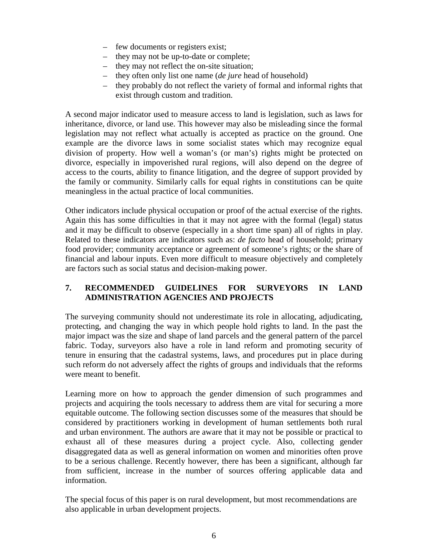- few documents or registers exist;
- they may not be up-to-date or complete;
- they may not reflect the on-site situation;
- they often only list one name (*de jure* head of household)
- they probably do not reflect the variety of formal and informal rights that exist through custom and tradition.

A second major indicator used to measure access to land is legislation, such as laws for inheritance, divorce, or land use. This however may also be misleading since the formal legislation may not reflect what actually is accepted as practice on the ground. One example are the divorce laws in some socialist states which may recognize equal division of property. How well a woman's (or man's) rights might be protected on divorce, especially in impoverished rural regions, will also depend on the degree of access to the courts, ability to finance litigation, and the degree of support provided by the family or community. Similarly calls for equal rights in constitutions can be quite meaningless in the actual practice of local communities.

Other indicators include physical occupation or proof of the actual exercise of the rights. Again this has some difficulties in that it may not agree with the formal (legal) status and it may be difficult to observe (especially in a short time span) all of rights in play. Related to these indicators are indicators such as: *de facto* head of household; primary food provider; community acceptance or agreement of someone's rights; or the share of financial and labour inputs. Even more difficult to measure objectively and completely are factors such as social status and decision-making power.

# **7. RECOMMENDED GUIDELINES FOR SURVEYORS IN LAND ADMINISTRATION AGENCIES AND PROJECTS**

The surveying community should not underestimate its role in allocating, adjudicating, protecting, and changing the way in which people hold rights to land. In the past the major impact was the size and shape of land parcels and the general pattern of the parcel fabric. Today, surveyors also have a role in land reform and promoting security of tenure in ensuring that the cadastral systems, laws, and procedures put in place during such reform do not adversely affect the rights of groups and individuals that the reforms were meant to benefit.

Learning more on how to approach the gender dimension of such programmes and projects and acquiring the tools necessary to address them are vital for securing a more equitable outcome. The following section discusses some of the measures that should be considered by practitioners working in development of human settlements both rural and urban environment. The authors are aware that it may not be possible or practical to exhaust all of these measures during a project cycle. Also, collecting gender disaggregated data as well as general information on women and minorities often prove to be a serious challenge. Recently however, there has been a significant, although far from sufficient, increase in the number of sources offering applicable data and information.

The special focus of this paper is on rural development, but most recommendations are also applicable in urban development projects.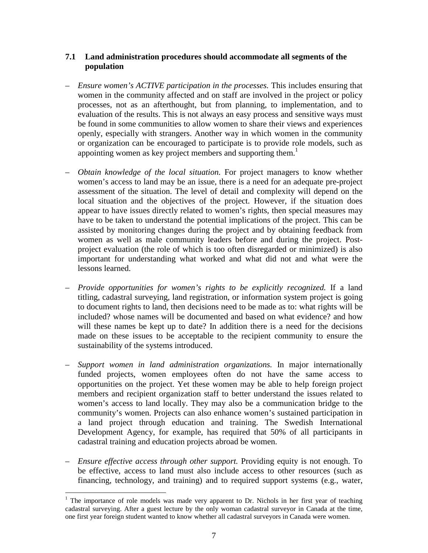# **7.1 Land administration procedures should accommodate all segments of the population**

- *Ensure women's ACTIVE participation in the processes.* This includes ensuring that women in the community affected and on staff are involved in the project or policy processes, not as an afterthought, but from planning, to implementation, and to evaluation of the results. This is not always an easy process and sensitive ways must be found in some communities to allow women to share their views and experiences openly, especially with strangers. Another way in which women in the community or organization can be encouraged to participate is to provide role models, such as appointing women as key project members and supporting them.<sup>1</sup>
- *Obtain knowledge of the local situation.* For project managers to know whether women's access to land may be an issue, there is a need for an adequate pre-project assessment of the situation. The level of detail and complexity will depend on the local situation and the objectives of the project. However, if the situation does appear to have issues directly related to women's rights, then special measures may have to be taken to understand the potential implications of the project. This can be assisted by monitoring changes during the project and by obtaining feedback from women as well as male community leaders before and during the project. Postproject evaluation (the role of which is too often disregarded or minimized) is also important for understanding what worked and what did not and what were the lessons learned.
- *Provide opportunities for women's rights to be explicitly recognized.* If a land titling, cadastral surveying, land registration, or information system project is going to document rights to land, then decisions need to be made as to: what rights will be included? whose names will be documented and based on what evidence? and how will these names be kept up to date? In addition there is a need for the decisions made on these issues to be acceptable to the recipient community to ensure the sustainability of the systems introduced.
- *Support women in land administration organizations.* In major internationally funded projects, women employees often do not have the same access to opportunities on the project. Yet these women may be able to help foreign project members and recipient organization staff to better understand the issues related to women's access to land locally. They may also be a communication bridge to the community's women. Projects can also enhance women's sustained participation in a land project through education and training. The Swedish International Development Agency, for example, has required that 50% of all participants in cadastral training and education projects abroad be women.
- *Ensure effective access through other support.* Providing equity is not enough. To be effective, access to land must also include access to other resources (such as financing, technology, and training) and to required support systems (e.g., water,

 $\overline{a}$ 

 $1$  The importance of role models was made very apparent to Dr. Nichols in her first year of teaching cadastral surveying. After a guest lecture by the only woman cadastral surveyor in Canada at the time, one first year foreign student wanted to know whether all cadastral surveyors in Canada were women.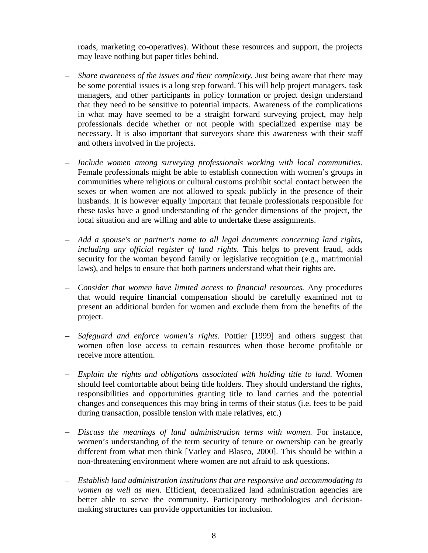roads, marketing co-operatives). Without these resources and support, the projects may leave nothing but paper titles behind.

- *Share awareness of the issues and their complexity.* Just being aware that there may be some potential issues is a long step forward. This will help project managers, task managers, and other participants in policy formation or project design understand that they need to be sensitive to potential impacts. Awareness of the complications in what may have seemed to be a straight forward surveying project, may help professionals decide whether or not people with specialized expertise may be necessary. It is also important that surveyors share this awareness with their staff and others involved in the projects.
- *Include women among surveying professionals working with local communities.* Female professionals might be able to establish connection with women's groups in communities where religious or cultural customs prohibit social contact between the sexes or when women are not allowed to speak publicly in the presence of their husbands. It is however equally important that female professionals responsible for these tasks have a good understanding of the gender dimensions of the project, the local situation and are willing and able to undertake these assignments.
- *Add a spouse's or partner's name to all legal documents concerning land rights, including any official register of land rights.* This helps to prevent fraud, adds security for the woman beyond family or legislative recognition (e.g., matrimonial laws), and helps to ensure that both partners understand what their rights are.
- *Consider that women have limited access to financial resources.* Any procedures that would require financial compensation should be carefully examined not to present an additional burden for women and exclude them from the benefits of the project.
- *Safeguard and enforce women's rights.* Pottier [1999] and others suggest that women often lose access to certain resources when those become profitable or receive more attention.
- *Explain the rights and obligations associated with holding title to land.* Women should feel comfortable about being title holders. They should understand the rights, responsibilities and opportunities granting title to land carries and the potential changes and consequences this may bring in terms of their status (i.e. fees to be paid during transaction, possible tension with male relatives, etc.)
- *Discuss the meanings of land administration terms with women.* For instance, women's understanding of the term security of tenure or ownership can be greatly different from what men think [Varley and Blasco, 2000]. This should be within a non-threatening environment where women are not afraid to ask questions.
- *Establish land administration institutions that are responsive and accommodating to women as well as men.* Efficient, decentralized land administration agencies are better able to serve the community. Participatory methodologies and decisionmaking structures can provide opportunities for inclusion.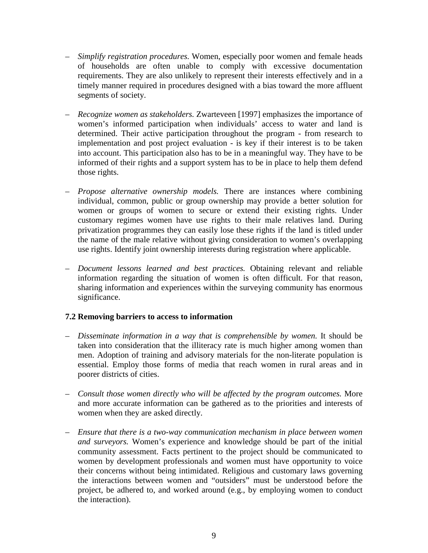- *Simplify registration procedures.* Women, especially poor women and female heads of households are often unable to comply with excessive documentation requirements. They are also unlikely to represent their interests effectively and in a timely manner required in procedures designed with a bias toward the more affluent segments of society.
- *Recognize women as stakeholders.* Zwarteveen [1997] emphasizes the importance of women's informed participation when individuals' access to water and land is determined. Their active participation throughout the program - from research to implementation and post project evaluation - is key if their interest is to be taken into account. This participation also has to be in a meaningful way. They have to be informed of their rights and a support system has to be in place to help them defend those rights.
- *Propose alternative ownership models.* There are instances where combining individual, common, public or group ownership may provide a better solution for women or groups of women to secure or extend their existing rights. Under customary regimes women have use rights to their male relatives land. During privatization programmes they can easily lose these rights if the land is titled under the name of the male relative without giving consideration to women's overlapping use rights. Identify joint ownership interests during registration where applicable.
- *Document lessons learned and best practices.* Obtaining relevant and reliable information regarding the situation of women is often difficult. For that reason, sharing information and experiences within the surveying community has enormous significance.

### **7.2 Removing barriers to access to information**

- *Disseminate information in a way that is comprehensible by women.* It should be taken into consideration that the illiteracy rate is much higher among women than men. Adoption of training and advisory materials for the non-literate population is essential. Employ those forms of media that reach women in rural areas and in poorer districts of cities.
- *Consult those women directly who will be affected by the program outcomes.* More and more accurate information can be gathered as to the priorities and interests of women when they are asked directly.
- *Ensure that there is a two-way communication mechanism in place between women and surveyors.* Women's experience and knowledge should be part of the initial community assessment. Facts pertinent to the project should be communicated to women by development professionals and women must have opportunity to voice their concerns without being intimidated. Religious and customary laws governing the interactions between women and "outsiders" must be understood before the project, be adhered to, and worked around (e.g., by employing women to conduct the interaction).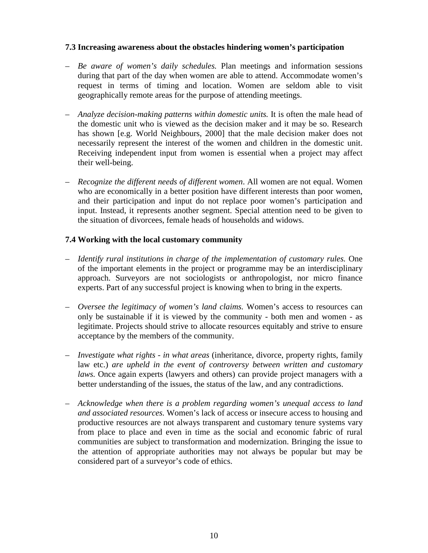### **7.3 Increasing awareness about the obstacles hindering women's participation**

- *Be aware of women's daily schedules.* Plan meetings and information sessions during that part of the day when women are able to attend. Accommodate women's request in terms of timing and location. Women are seldom able to visit geographically remote areas for the purpose of attending meetings.
- *Analyze decision-making patterns within domestic units.* It is often the male head of the domestic unit who is viewed as the decision maker and it may be so. Research has shown [e.g. World Neighbours, 2000] that the male decision maker does not necessarily represent the interest of the women and children in the domestic unit. Receiving independent input from women is essential when a project may affect their well-being.
- *Recognize the different needs of different women*. All women are not equal. Women who are economically in a better position have different interests than poor women, and their participation and input do not replace poor women's participation and input. Instead, it represents another segment. Special attention need to be given to the situation of divorcees, female heads of households and widows.

### **7.4 Working with the local customary community**

- *Identify rural institutions in charge of the implementation of customary rules.* One of the important elements in the project or programme may be an interdisciplinary approach. Surveyors are not sociologists or anthropologist, nor micro finance experts. Part of any successful project is knowing when to bring in the experts.
- *Oversee the legitimacy of women's land claims.* Women's access to resources can only be sustainable if it is viewed by the community - both men and women - as legitimate. Projects should strive to allocate resources equitably and strive to ensure acceptance by the members of the community.
- *Investigate what rights in what areas* (inheritance, divorce, property rights, family law etc.) *are upheld in the event of controversy between written and customary laws.* Once again experts (lawyers and others) can provide project managers with a better understanding of the issues, the status of the law, and any contradictions.
- *Acknowledge when there is a problem regarding women's unequal access to land and associated resources.* Women's lack of access or insecure access to housing and productive resources are not always transparent and customary tenure systems vary from place to place and even in time as the social and economic fabric of rural communities are subject to transformation and modernization. Bringing the issue to the attention of appropriate authorities may not always be popular but may be considered part of a surveyor's code of ethics.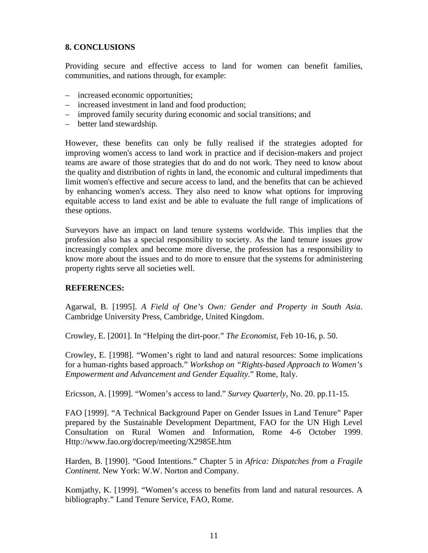# **8. CONCLUSIONS**

Providing secure and effective access to land for women can benefit families, communities, and nations through, for example:

- increased economic opportunities;
- increased investment in land and food production;
- improved family security during economic and social transitions; and
- better land stewardship.

However, these benefits can only be fully realised if the strategies adopted for improving women's access to land work in practice and if decision-makers and project teams are aware of those strategies that do and do not work. They need to know about the quality and distribution of rights in land, the economic and cultural impediments that limit women's effective and secure access to land, and the benefits that can be achieved by enhancing women's access. They also need to know what options for improving equitable access to land exist and be able to evaluate the full range of implications of these options.

Surveyors have an impact on land tenure systems worldwide. This implies that the profession also has a special responsibility to society. As the land tenure issues grow increasingly complex and become more diverse, the profession has a responsibility to know more about the issues and to do more to ensure that the systems for administering property rights serve all societies well.

### **REFERENCES:**

Agarwal, B. [1995]. *A Field of One's Own: Gender and Property in South Asia*. Cambridge University Press, Cambridge, United Kingdom.

Crowley, E. [2001]. In "Helping the dirt-poor." *The Economist,* Feb 10-16, p. 50.

Crowley, E. [1998]. "Women's right to land and natural resources: Some implications for a human-rights based approach." *Workshop on "Rights-based Approach to Women's Empowerment and Advancement and Gender Equality*." Rome, Italy.

Ericsson, A. [1999]. "Women's access to land." *Survey Quarterly*, No. 20. pp.11-15.

FAO [1999]. "A Technical Background Paper on Gender Issues in Land Tenure" Paper prepared by the Sustainable Development Department, FAO for the UN High Level Consultation on Rural Women and Information, Rome 4-6 October 1999. Http://www.fao.org/docrep/meeting/X2985E.htm

Harden, B. [1990]. "Good Intentions." Chapter 5 in *Africa: Dispatches from a Fragile Continent.* New York: W.W. Norton and Company.

Komjathy, K. [1999]. "Women's access to benefits from land and natural resources. A bibliography." Land Tenure Service, FAO, Rome.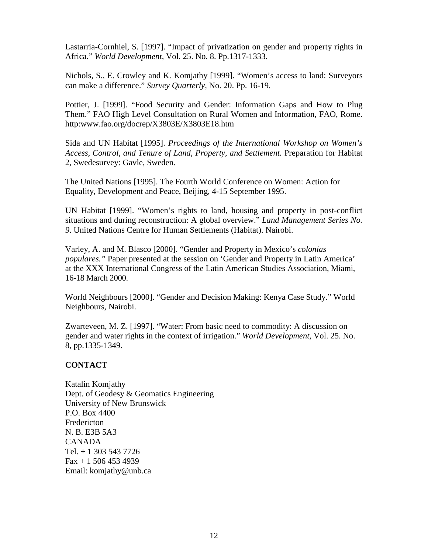Lastarria-Cornhiel, S. [1997]. "Impact of privatization on gender and property rights in Africa." *World Development,* Vol. 25. No. 8. Pp.1317-1333.

Nichols, S., E. Crowley and K. Komjathy [1999]. "Women's access to land: Surveyors can make a difference." *Survey Quarterly,* No. 20. Pp. 16-19.

Pottier, J. [1999]. "Food Security and Gender: Information Gaps and How to Plug Them." FAO High Level Consultation on Rural Women and Information, FAO, Rome. http:www.fao.org/docrep/X3803E/X3803E18.htm

Sida and UN Habitat [1995]. *Proceedings of the International Workshop on Women's Access, Control, and Tenure of Land, Property, and Settlement.* Preparation for Habitat 2, Swedesurvey: Gavle, Sweden.

The United Nations [1995]. The Fourth World Conference on Women: Action for Equality, Development and Peace, Beijing, 4-15 September 1995.

UN Habitat [1999]. "Women's rights to land, housing and property in post-conflict situations and during reconstruction: A global overview." *Land Management Series No. 9*. United Nations Centre for Human Settlements (Habitat). Nairobi.

Varley, A. and M. Blasco [2000]. "Gender and Property in Mexico's *colonias populares."* Paper presented at the session on 'Gender and Property in Latin America' at the XXX International Congress of the Latin American Studies Association, Miami, 16-18 March 2000.

World Neighbours [2000]. "Gender and Decision Making: Kenya Case Study." World Neighbours, Nairobi.

Zwarteveen, M. Z. [1997]. "Water: From basic need to commodity: A discussion on gender and water rights in the context of irrigation." *World Development*, Vol. 25. No. 8, pp.1335-1349.

### **CONTACT**

Katalin Komjathy Dept. of Geodesy & Geomatics Engineering University of New Brunswick P.O. Box 4400 Fredericton N. B. E3B 5A3 CANADA Tel. + 1 303 543 7726  $Fax + 15064534939$ Email: komjathy@unb.ca